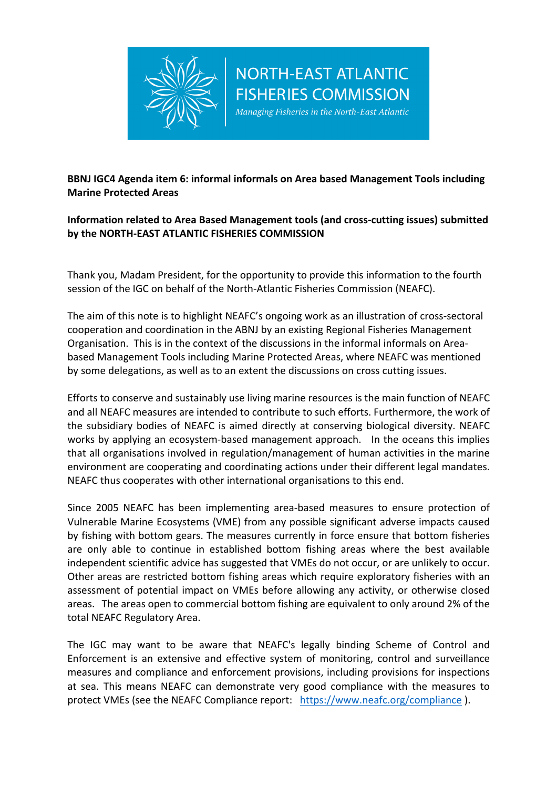

## **BBNJ IGC4 Agenda item 6: informal informals on Area based Management Tools including Marine Protected Areas**

**NORTH-EAST ATLANTIC** 

**FISHERIES COMMISSION** Managing Fisheries in the North-East Atlantic

## **Information related to Area Based Management tools (and cross-cutting issues) submitted by the NORTH-EAST ATLANTIC FISHERIES COMMISSION**

Thank you, Madam President, for the opportunity to provide this information to the fourth session of the IGC on behalf of the North-Atlantic Fisheries Commission (NEAFC).

The aim of this note is to highlight NEAFC's ongoing work as an illustration of cross-sectoral cooperation and coordination in the ABNJ by an existing Regional Fisheries Management Organisation. This is in the context of the discussions in the informal informals on Areabased Management Tools including Marine Protected Areas, where NEAFC was mentioned by some delegations, as well as to an extent the discussions on cross cutting issues.

Efforts to conserve and sustainably use living marine resources is the main function of NEAFC and all NEAFC measures are intended to contribute to such efforts. Furthermore, the work of the subsidiary bodies of NEAFC is aimed directly at conserving biological diversity. NEAFC works by applying an ecosystem-based management approach. In the oceans this implies that all organisations involved in regulation/management of human activities in the marine environment are cooperating and coordinating actions under their different legal mandates. NEAFC thus cooperates with other international organisations to this end.

Since 2005 NEAFC has been implementing area-based measures to ensure protection of Vulnerable Marine Ecosystems (VME) from any possible significant adverse impacts caused by fishing with bottom gears. The measures currently in force ensure that bottom fisheries are only able to continue in established bottom fishing areas where the best available independent scientific advice has suggested that VMEs do not occur, or are unlikely to occur. Other areas are restricted bottom fishing areas which require exploratory fisheries with an assessment of potential impact on VMEs before allowing any activity, or otherwise closed areas. The areas open to commercial bottom fishing are equivalent to only around 2% of the total NEAFC Regulatory Area.

The IGC may want to be aware that NEAFC's legally binding Scheme of Control and Enforcement is an extensive and effective system of monitoring, control and surveillance measures and compliance and enforcement provisions, including provisions for inspections at sea. This means NEAFC can demonstrate very good compliance with the measures to protect VMEs (see the NEAFC Compliance report: https://www.neafc.org/compliance ).